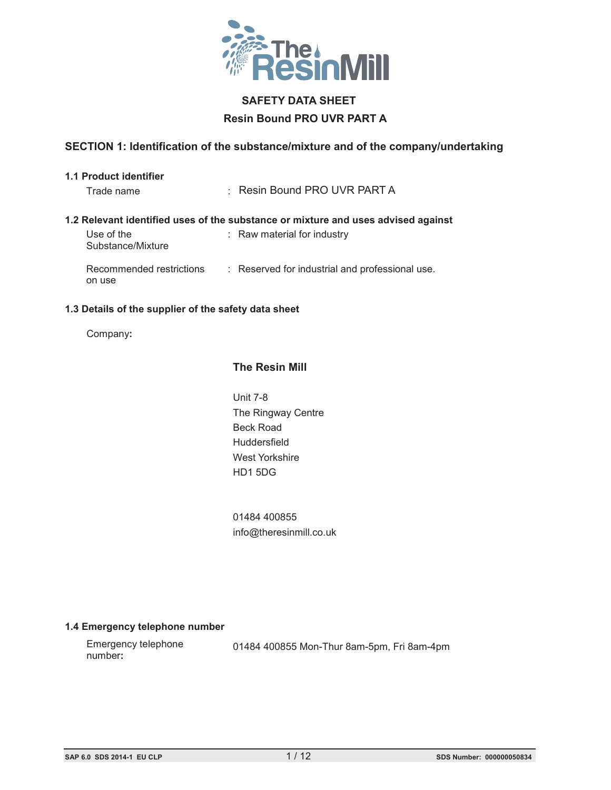

# **SAFETY DATA SHEET Resin Bound PRO UVR PART A**

# **SECTION 1: Identification of the substance/mixture and of the company/undertaking**

#### **1.1 Product identifier**

| Trade name                         | : Resin Bound PRO UVR PART A                                                      |
|------------------------------------|-----------------------------------------------------------------------------------|
|                                    | 1.2 Relevant identified uses of the substance or mixture and uses advised against |
| Use of the<br>Substance/Mixture    | : Raw material for industry                                                       |
| Recommended restrictions<br>on use | : Reserved for industrial and professional use.                                   |

#### **1.3 Details of the supplier of the safety data sheet**

Company:

# **The Resin Mill**

**Unit 7-8** The Ringway Centre Beck Road Huddersfield baxenden, Nr Accrimental, Nr Accrimental, Nr Accrimental, Nr Accrimental, Nr Accrimental, Nr Accrimental, Nr A<br>District of the United States of the United States of the United States of the United States of the United Sta West Yorkshire HD1 5DG

 $01484\ 400855$ info@theresinmill.co.uk

# **1.4 Emergency telephone number**

| Emergency telephone | 01484 400855 Mon-Thur 8am-5pm, Fri 8am-4pm |  |
|---------------------|--------------------------------------------|--|
| number:             |                                            |  |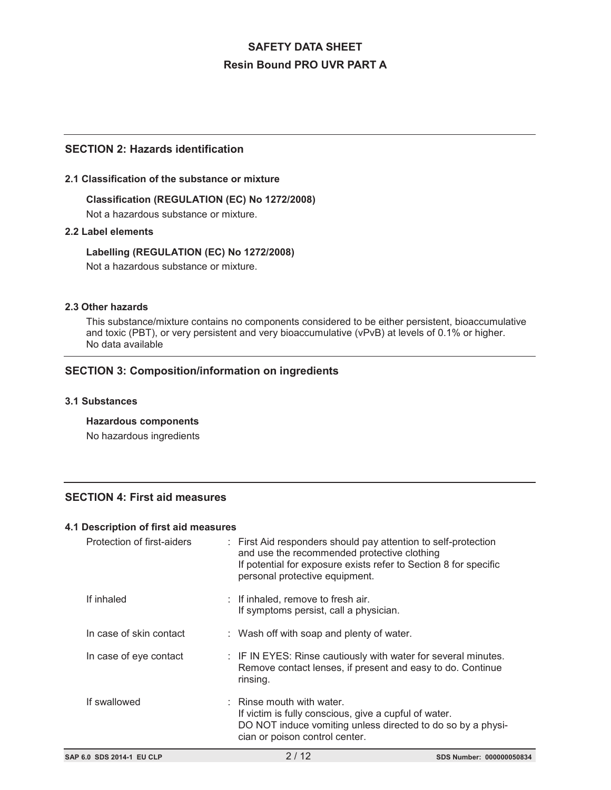## **SECTION 2: Hazards identification**

#### **2.1 Classification of the substance or mixture**

**Classification (REGULATION (EC) No 1272/2008)** Not a hazardous substance or mixture.

#### **2.2 Label elements**

**Labelling (REGULATION (EC) No 1272/2008)** Not a hazardous substance or mixture.

#### **2.3 Other hazards**

This substance/mixture contains no components considered to be either persistent, bioaccumulative and toxic (PBT), or very persistent and very bioaccumulative (vPvB) at levels of 0.1% or higher. No data available

# **SECTION 3: Composition/information on ingredients**

#### **3.1 Substances**

**Hazardous components**

No hazardous ingredients

# **SECTION 4: First aid measures**

#### **4.1 Description of first aid measures**

| SAP 6.0 SDS 2014-1 EU CLP  | 2/12                                                                                                                                                                                                                | SDS Number: 000000050834 |
|----------------------------|---------------------------------------------------------------------------------------------------------------------------------------------------------------------------------------------------------------------|--------------------------|
| If swallowed               | $\therefore$ Rinse mouth with water.<br>If victim is fully conscious, give a cupful of water.<br>DO NOT induce vomiting unless directed to do so by a physi-<br>cian or poison control center.                      |                          |
| In case of eye contact     | : IF IN EYES: Rinse cautiously with water for several minutes.<br>Remove contact lenses, if present and easy to do. Continue<br>rinsing.                                                                            |                          |
| In case of skin contact    | : Wash off with soap and plenty of water.                                                                                                                                                                           |                          |
| If inhaled                 | $:$ If inhaled, remove to fresh air.<br>If symptoms persist, call a physician.                                                                                                                                      |                          |
| Protection of first-aiders | : First Aid responders should pay attention to self-protection<br>and use the recommended protective clothing<br>If potential for exposure exists refer to Section 8 for specific<br>personal protective equipment. |                          |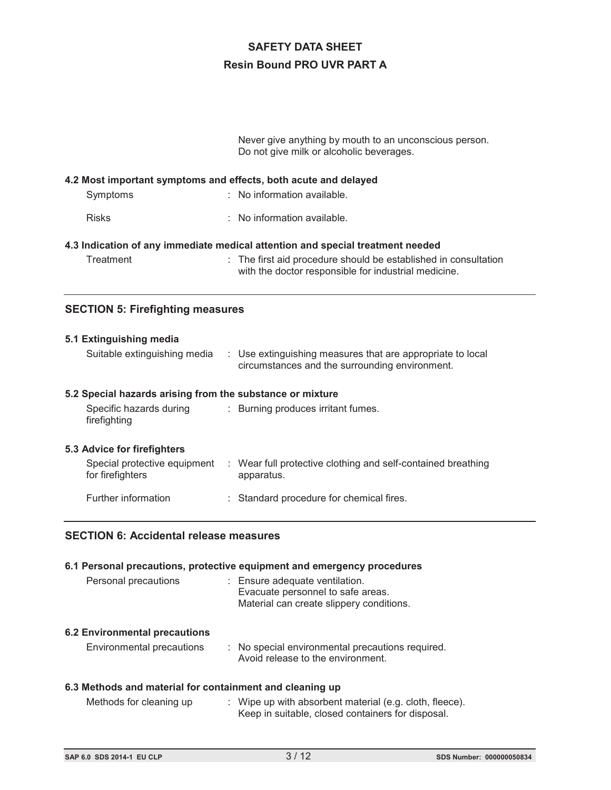Never give anything by mouth to an unconscious person. Do not give milk or alcoholic beverages.

#### **4.2 Most important symptoms and effects, both acute and delayed**

| Symptoms     | $\therefore$ No information available. |
|--------------|----------------------------------------|
| <b>Risks</b> | $\therefore$ No information available. |
|              |                                        |

#### **4.3 Indication of any immediate medical attention and special treatment needed**

- 
- Treatment : The first aid procedure should be established in consultation with the doctor responsible for industrial medicine.

### **SECTION 5: Firefighting measures**

#### **5.1 Extinguishing media**

|  |  | Suitable extinguishing media : Use extinguishing measures that are appropriate to local<br>circumstances and the surrounding environment. |
|--|--|-------------------------------------------------------------------------------------------------------------------------------------------|
|--|--|-------------------------------------------------------------------------------------------------------------------------------------------|

#### **5.2 Special hazards arising from the substance or mixture**

| Specific hazards during | : Burning produces irritant fumes. |
|-------------------------|------------------------------------|
| firefighting            |                                    |

#### **5.3 Advice for firefighters**

| Special protective equipment<br>for firefighters | : Wear full protective clothing and self-contained breathing<br>apparatus. |
|--------------------------------------------------|----------------------------------------------------------------------------|
| Further information                              | : Standard procedure for chemical fires.                                   |

### **SECTION 6: Accidental release measures**

#### **6.1 Personal precautions, protective equipment and emergency procedures**

| Personal precautions | : Ensure adequate ventilation.           |
|----------------------|------------------------------------------|
|                      | Evacuate personnel to safe areas.        |
|                      | Material can create slippery conditions. |

#### **6.2 Environmental precautions**

| Environmental precautions | : No special environmental precautions required. |
|---------------------------|--------------------------------------------------|
|                           | Avoid release to the environment.                |

#### **6.3 Methods and material for containment and cleaning up**

| Methods for cleaning up | . Wipe up with absorbent material (e.g. cloth, fleece). |
|-------------------------|---------------------------------------------------------|
|                         | Keep in suitable, closed containers for disposal.       |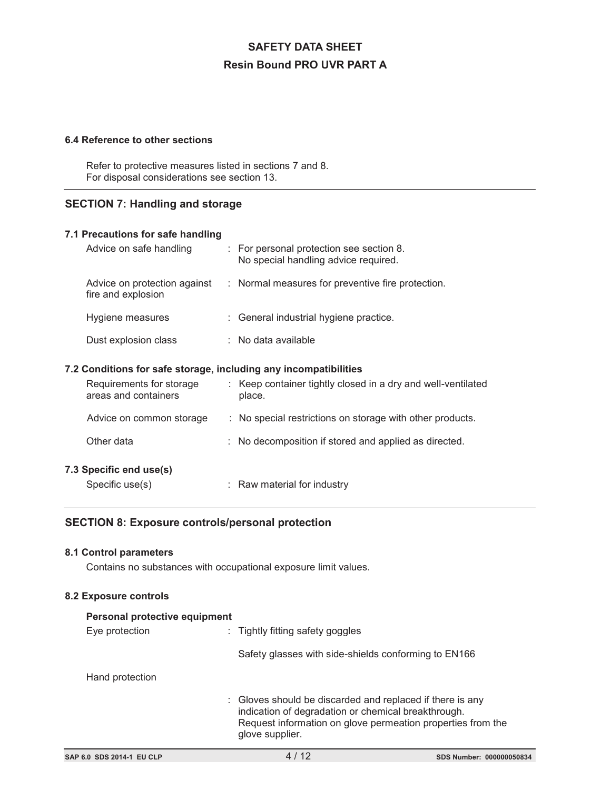#### **6.4 Reference to other sections**

Refer to protective measures listed in sections 7 and 8. For disposal considerations see section 13.

## **SECTION 7: Handling and storage**

| 7.1 Precautions for safe handling                                |                       |                                                                                  |
|------------------------------------------------------------------|-----------------------|----------------------------------------------------------------------------------|
| Advice on safe handling                                          |                       | : For personal protection see section 8.<br>No special handling advice required. |
| Advice on protection against<br>fire and explosion               |                       | : Normal measures for preventive fire protection.                                |
| Hygiene measures                                                 |                       | : General industrial hygiene practice.                                           |
| Dust explosion class                                             | $:$ No data available |                                                                                  |
| 7.2 Conditions for safe storage, including any incompatibilities |                       |                                                                                  |
| Requirements for storage<br>areas and containers                 | place.                | : Keep container tightly closed in a dry and well-ventilated                     |
|                                                                  |                       |                                                                                  |
| Advice on common storage                                         |                       | : No special restrictions on storage with other products.                        |
| Other data                                                       |                       | : No decomposition if stored and applied as directed.                            |
| 7.3 Specific end use(s)                                          |                       |                                                                                  |

# **SECTION 8: Exposure controls/personal protection**

### **8.1 Control parameters**

Contains no substances with occupational exposure limit values.

#### **8.2 Exposure controls**

| Personal protective equipment |                 |                                                                                                                                                                                                    |
|-------------------------------|-----------------|----------------------------------------------------------------------------------------------------------------------------------------------------------------------------------------------------|
|                               | Eye protection  | : Tightly fitting safety goggles                                                                                                                                                                   |
|                               |                 | Safety glasses with side-shields conforming to EN166                                                                                                                                               |
|                               | Hand protection |                                                                                                                                                                                                    |
|                               |                 | : Gloves should be discarded and replaced if there is any<br>indication of degradation or chemical breakthrough.<br>Request information on glove permeation properties from the<br>glove supplier. |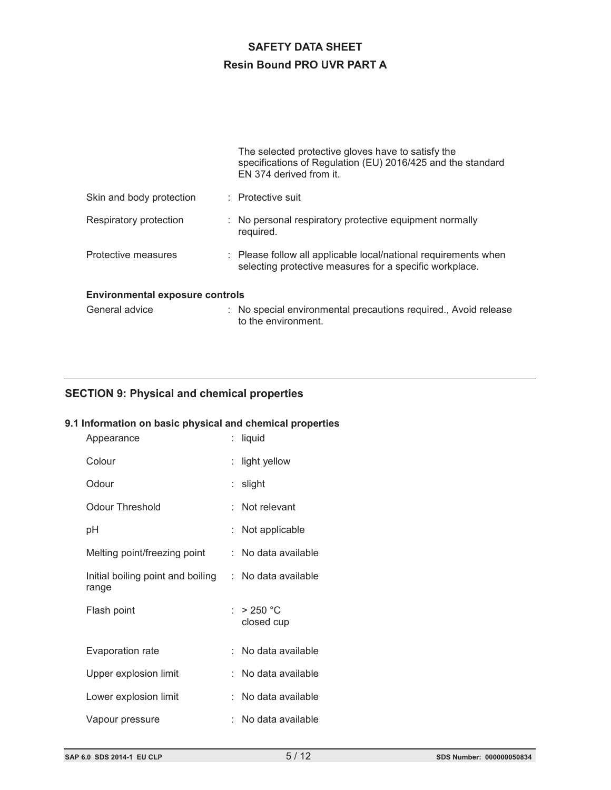|                                        | The selected protective gloves have to satisfy the<br>specifications of Regulation (EU) 2016/425 and the standard<br>EN 374 derived from it. |
|----------------------------------------|----------------------------------------------------------------------------------------------------------------------------------------------|
| Skin and body protection               | : Protective suit                                                                                                                            |
| Respiratory protection                 | : No personal respiratory protective equipment normally<br>required.                                                                         |
| Protective measures                    | : Please follow all applicable local/national requirements when<br>selecting protective measures for a specific workplace.                   |
| <b>Environmental exposure controls</b> |                                                                                                                                              |
| General advice                         | No special environmental precautions required., Avoid release                                                                                |

to the environment.

# **SECTION 9: Physical and chemical properties**

# **9.1 Information on basic physical and chemical properties**

| Appearance                                                     | liquid                   |
|----------------------------------------------------------------|--------------------------|
| Colour                                                         | light yellow             |
| Odour                                                          | : slight                 |
| Odour Threshold                                                | Not relevant             |
| рH                                                             | Not applicable           |
| Melting point/freezing point                                   | : No data available      |
| Initial boiling point and boiling : No data available<br>range |                          |
| Flash point                                                    | : > 250 °C<br>closed cup |
| Evaporation rate                                               | No data available        |
| Upper explosion limit                                          | No data available        |
| Lower explosion limit                                          | ∶ No data available      |
| Vapour pressure                                                | No data available        |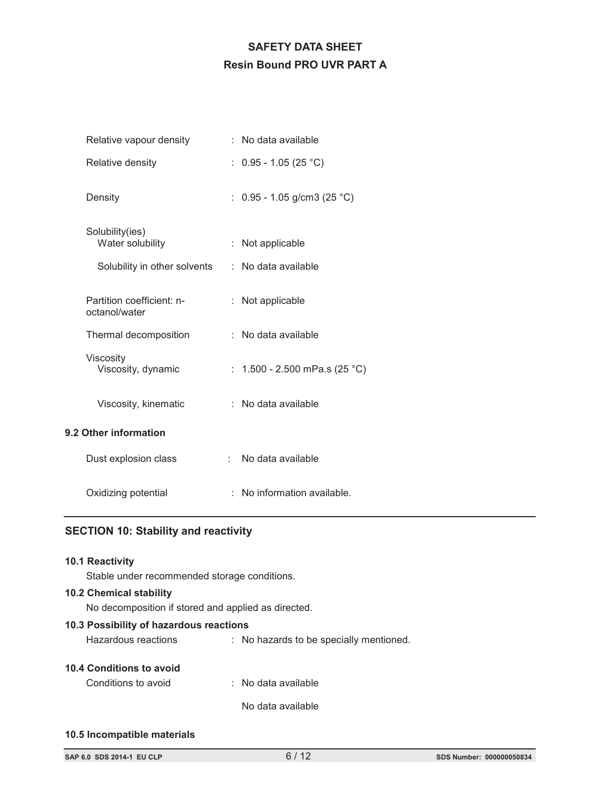| Relative vapour density                    | : No data available             |
|--------------------------------------------|---------------------------------|
| Relative density                           | : $0.95 - 1.05(25 °C)$          |
| Density                                    | : $0.95 - 1.05$ g/cm3 (25 °C)   |
| Solubility(ies)<br>Water solubility        | : Not applicable                |
| Solubility in other solvents               | : No data available             |
| Partition coefficient: n-<br>octanol/water | : Not applicable                |
| Thermal decomposition                      | $:$ No data available           |
| Viscosity<br>Viscosity, dynamic            | : $1.500 - 2.500$ mPa.s (25 °C) |
| Viscosity, kinematic                       | : No data available             |
| 9.2 Other information                      |                                 |
| Dust explosion class                       | : No data available             |
| Oxidizing potential                        | : No information available.     |

# **SECTION 10: Stability and reactivity**

#### **10.1 Reactivity**

Stable under recommended storage conditions.

#### **10.2 Chemical stability**

No decomposition if stored and applied as directed.

# **10.3 Possibility of hazardous reactions**

| Hazardous reactions |  | : No hazards to be specially mentioned. |
|---------------------|--|-----------------------------------------|
|---------------------|--|-----------------------------------------|

#### **10.4 Conditions to avoid**

| Conditions to avoid | $:$ No data available |
|---------------------|-----------------------|
|---------------------|-----------------------|

No data available

#### **10.5 Incompatible materials**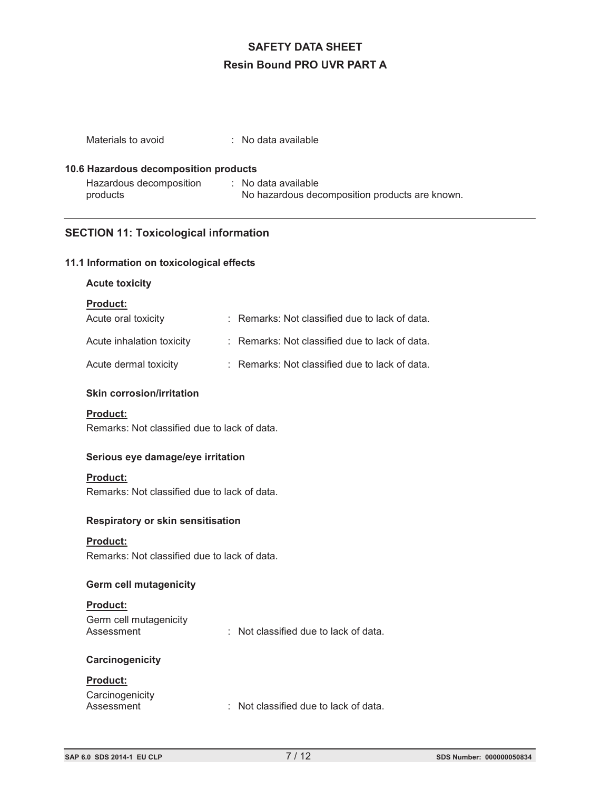| Materials to avoid                    | $\therefore$ No data available                                        |
|---------------------------------------|-----------------------------------------------------------------------|
| 10.6 Hazardous decomposition products |                                                                       |
| Hazardous decomposition<br>products   | : No data available<br>No hazardous decomposition products are known. |

# **SECTION 11: Toxicological information**

#### **11.1 Information on toxicological effects**

#### **Acute toxicity**

#### **Product:**

| Acute oral toxicity       | : Remarks: Not classified due to lack of data. |
|---------------------------|------------------------------------------------|
| Acute inhalation toxicity | : Remarks: Not classified due to lack of data. |
| Acute dermal toxicity     | : Remarks: Not classified due to lack of data. |

#### **Skin corrosion/irritation**

#### **Product:**

Remarks: Not classified due to lack of data.

#### **Serious eye damage/eye irritation**

#### **Product:**

Remarks: Not classified due to lack of data.

#### **Respiratory or skin sensitisation**

#### **Product:**

Remarks: Not classified due to lack of data.

#### **Germ cell mutagenicity**

#### **Product:**

| Germ cell mutagenicity |                                       |
|------------------------|---------------------------------------|
| Assessment             | : Not classified due to lack of data. |

#### **Carcinogenicity**

### **Product:** Carcinogenicity<br>Assessment : Not classified due to lack of data.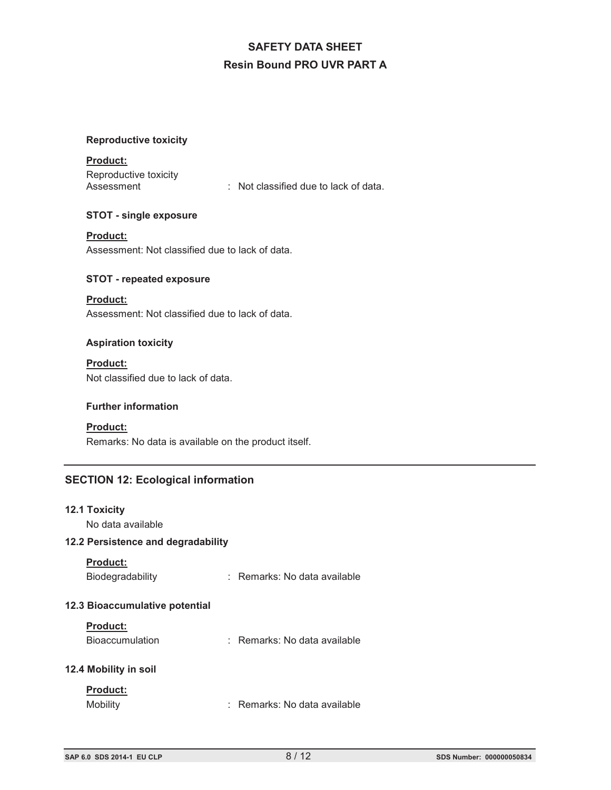#### **Reproductive toxicity**

#### **Product:**

Reproductive toxicity<br>Assessment

: Not classified due to lack of data.

#### **STOT - single exposure**

#### **Product:**

Assessment: Not classified due to lack of data.

#### **STOT - repeated exposure**

## **Product:** Assessment: Not classified due to lack of data.

#### **Aspiration toxicity**

# **Product:**

Not classified due to lack of data.

#### **Further information**

### **Product:**

Remarks: No data is available on the product itself.

# **SECTION 12: Ecological information**

#### **12.1 Toxicity**

No data available

# **12.2 Persistence and degradability**

#### **Product:**

| Biodegradability<br>Remarks: No data available |
|------------------------------------------------|
|------------------------------------------------|

#### **12.3 Bioaccumulative potential**

#### **Product:**

#### **12.4 Mobility in soil**

## **Product:**

Mobility : Remarks: No data available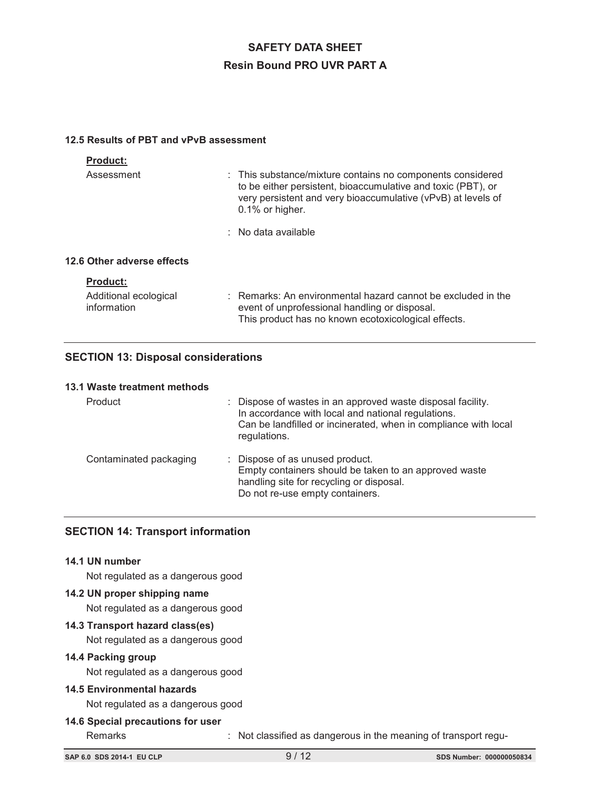#### **12.5 Results of PBT and vPvB assessment**

| <b>Product:</b>                      |                                                                                                                                                                                                                  |
|--------------------------------------|------------------------------------------------------------------------------------------------------------------------------------------------------------------------------------------------------------------|
| Assessment                           | : This substance/mixture contains no components considered<br>to be either persistent, bioaccumulative and toxic (PBT), or<br>very persistent and very bioaccumulative (vPvB) at levels of<br>$0.1\%$ or higher. |
|                                      | $\therefore$ No data available                                                                                                                                                                                   |
| 12.6 Other adverse effects           |                                                                                                                                                                                                                  |
| <b>Product:</b>                      |                                                                                                                                                                                                                  |
| Additional ecological<br>information | $\therefore$ Remarks: An environmental hazard cannot be excluded in the<br>event of unprofessional handling or disposal.<br>This product has no known ecotoxicological effects.                                  |

# **SECTION 13: Disposal considerations**

#### **13.1 Waste treatment methods**

| Product                | : Dispose of wastes in an approved waste disposal facility.<br>In accordance with local and national regulations.<br>Can be landfilled or incinerated, when in compliance with local<br>regulations. |
|------------------------|------------------------------------------------------------------------------------------------------------------------------------------------------------------------------------------------------|
| Contaminated packaging | : Dispose of as unused product.<br>Empty containers should be taken to an approved waste<br>handling site for recycling or disposal.<br>Do not re-use empty containers.                              |

# **SECTION 14: Transport information**

#### **14.1 UN number**

Not regulated as a dangerous good

#### **14.2 UN proper shipping name**

Not regulated as a dangerous good

### **14.3 Transport hazard class(es)**

Not regulated as a dangerous good

# **14.4 Packing group**

Not regulated as a dangerous good

### **14.5 Environmental hazards**

Not regulated as a dangerous good

#### **14.6 Special precautions for user**

Remarks : Not classified as dangerous in the meaning of transport regu-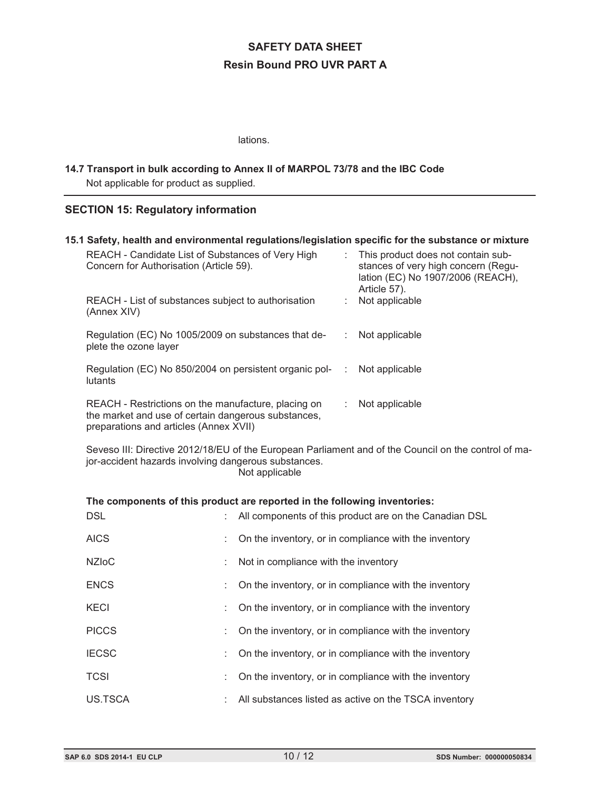lations.

# **14.7 Transport in bulk according to Annex II of MARPOL 73/78 and the IBC Code** Not applicable for product as supplied.

# **SECTION 15: Regulatory information**

| 15.1 Safety, health and environmental regulations/legislation specific for the substance or mixture |                                                                                                                                                                                |                           |                                                                                                                                |  |  |  |
|-----------------------------------------------------------------------------------------------------|--------------------------------------------------------------------------------------------------------------------------------------------------------------------------------|---------------------------|--------------------------------------------------------------------------------------------------------------------------------|--|--|--|
|                                                                                                     | REACH - Candidate List of Substances of Very High<br>Concern for Authorisation (Article 59).                                                                                   | $\mathbb{R}^{\mathbb{Z}}$ | This product does not contain sub-<br>stances of very high concern (Regu-<br>lation (EC) No 1907/2006 (REACH),<br>Article 57). |  |  |  |
|                                                                                                     | REACH - List of substances subject to authorisation<br>(Annex XIV)                                                                                                             |                           | Not applicable                                                                                                                 |  |  |  |
|                                                                                                     | Regulation (EC) No 1005/2009 on substances that de-<br>plete the ozone layer                                                                                                   | ÷.                        | Not applicable                                                                                                                 |  |  |  |
|                                                                                                     | Regulation (EC) No 850/2004 on persistent organic pol-<br>lutants                                                                                                              | $\mathbb{R}^n$            | Not applicable                                                                                                                 |  |  |  |
|                                                                                                     | REACH - Restrictions on the manufacture, placing on<br>the market and use of certain dangerous substances,<br>preparations and articles (Annex XVII)                           | ÷.                        | Not applicable                                                                                                                 |  |  |  |
|                                                                                                     | Seveso III: Directive 2012/18/EU of the European Parliament and of the Council on the control of ma-<br>jor-accident hazards involving dangerous substances.<br>Not applicable |                           |                                                                                                                                |  |  |  |

# **The components of this product are reported in the following inventories:**

| <b>DSL</b>   | All components of this product are on the Canadian DSL |
|--------------|--------------------------------------------------------|
| <b>AICS</b>  | On the inventory, or in compliance with the inventory  |
| <b>NZIoC</b> | Not in compliance with the inventory                   |
| <b>ENCS</b>  | On the inventory, or in compliance with the inventory  |
| <b>KECI</b>  | On the inventory, or in compliance with the inventory  |
| <b>PICCS</b> | On the inventory, or in compliance with the inventory  |
| <b>IECSC</b> | On the inventory, or in compliance with the inventory  |
| <b>TCSI</b>  | On the inventory, or in compliance with the inventory  |
| US.TSCA      | All substances listed as active on the TSCA inventory  |